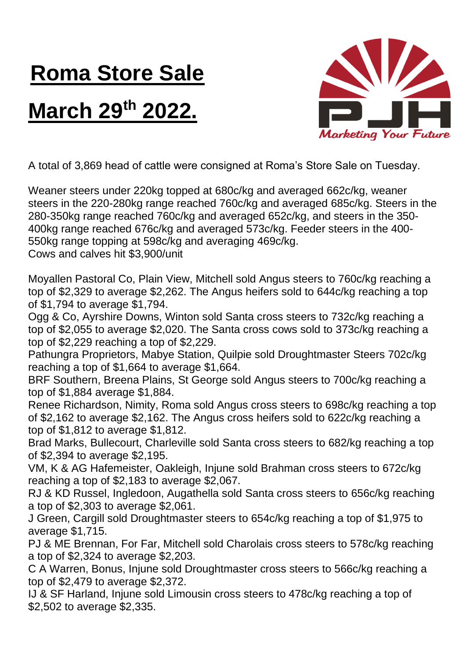## **Roma Store Sale**

## **March 29 th 2022.**



A total of 3,869 head of cattle were consigned at Roma's Store Sale on Tuesday.

Weaner steers under 220kg topped at 680c/kg and averaged 662c/kg, weaner steers in the 220-280kg range reached 760c/kg and averaged 685c/kg. Steers in the 280-350kg range reached 760c/kg and averaged 652c/kg, and steers in the 350- 400kg range reached 676c/kg and averaged 573c/kg. Feeder steers in the 400- 550kg range topping at 598c/kg and averaging 469c/kg. Cows and calves hit \$3,900/unit

Moyallen Pastoral Co, Plain View, Mitchell sold Angus steers to 760c/kg reaching a top of \$2,329 to average \$2,262. The Angus heifers sold to 644c/kg reaching a top of \$1,794 to average \$1,794.

Ogg & Co, Ayrshire Downs, Winton sold Santa cross steers to 732c/kg reaching a top of \$2,055 to average \$2,020. The Santa cross cows sold to 373c/kg reaching a top of \$2,229 reaching a top of \$2,229.

Pathungra Proprietors, Mabye Station, Quilpie sold Droughtmaster Steers 702c/kg reaching a top of \$1,664 to average \$1,664.

BRF Southern, Breena Plains, St George sold Angus steers to 700c/kg reaching a top of \$1,884 average \$1,884.

Renee Richardson, Nimity, Roma sold Angus cross steers to 698c/kg reaching a top of \$2,162 to average \$2,162. The Angus cross heifers sold to 622c/kg reaching a top of \$1,812 to average \$1,812.

Brad Marks, Bullecourt, Charleville sold Santa cross steers to 682/kg reaching a top of \$2,394 to average \$2,195.

VM, K & AG Hafemeister, Oakleigh, Injune sold Brahman cross steers to 672c/kg reaching a top of \$2,183 to average \$2,067.

RJ & KD Russel, Ingledoon, Augathella sold Santa cross steers to 656c/kg reaching a top of \$2,303 to average \$2,061.

J Green, Cargill sold Droughtmaster steers to 654c/kg reaching a top of \$1,975 to average \$1,715.

PJ & ME Brennan, For Far, Mitchell sold Charolais cross steers to 578c/kg reaching a top of \$2,324 to average \$2,203.

C A Warren, Bonus, Injune sold Droughtmaster cross steers to 566c/kg reaching a top of \$2,479 to average \$2,372.

IJ & SF Harland, Injune sold Limousin cross steers to 478c/kg reaching a top of \$2,502 to average \$2,335.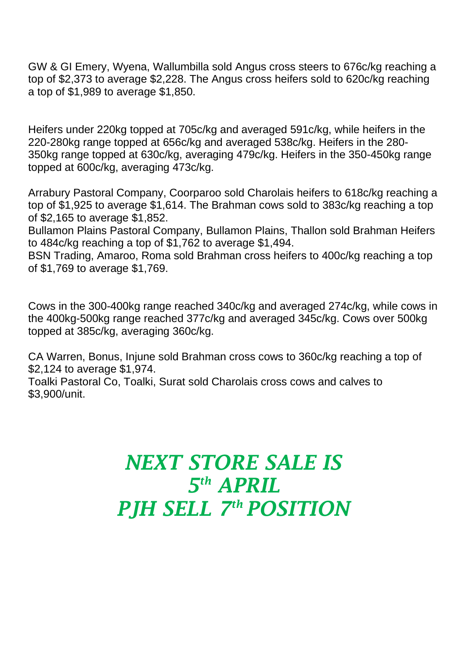GW & GI Emery, Wyena, Wallumbilla sold Angus cross steers to 676c/kg reaching a top of \$2,373 to average \$2,228. The Angus cross heifers sold to 620c/kg reaching a top of \$1,989 to average \$1,850.

Heifers under 220kg topped at 705c/kg and averaged 591c/kg, while heifers in the 220-280kg range topped at 656c/kg and averaged 538c/kg. Heifers in the 280- 350kg range topped at 630c/kg, averaging 479c/kg. Heifers in the 350-450kg range topped at 600c/kg, averaging 473c/kg.

Arrabury Pastoral Company, Coorparoo sold Charolais heifers to 618c/kg reaching a top of \$1,925 to average \$1,614. The Brahman cows sold to 383c/kg reaching a top of \$2,165 to average \$1,852.

Bullamon Plains Pastoral Company, Bullamon Plains, Thallon sold Brahman Heifers to 484c/kg reaching a top of \$1,762 to average \$1,494.

BSN Trading, Amaroo, Roma sold Brahman cross heifers to 400c/kg reaching a top of \$1,769 to average \$1,769.

Cows in the 300-400kg range reached 340c/kg and averaged 274c/kg, while cows in the 400kg-500kg range reached 377c/kg and averaged 345c/kg. Cows over 500kg topped at 385c/kg, averaging 360c/kg.

CA Warren, Bonus, Injune sold Brahman cross cows to 360c/kg reaching a top of \$2,124 to average \$1,974.

Toalki Pastoral Co, Toalki, Surat sold Charolais cross cows and calves to \$3,900/unit.

## *NEXT STORE SALE IS 5 th APRIL PJH SELL 7 th POSITION*